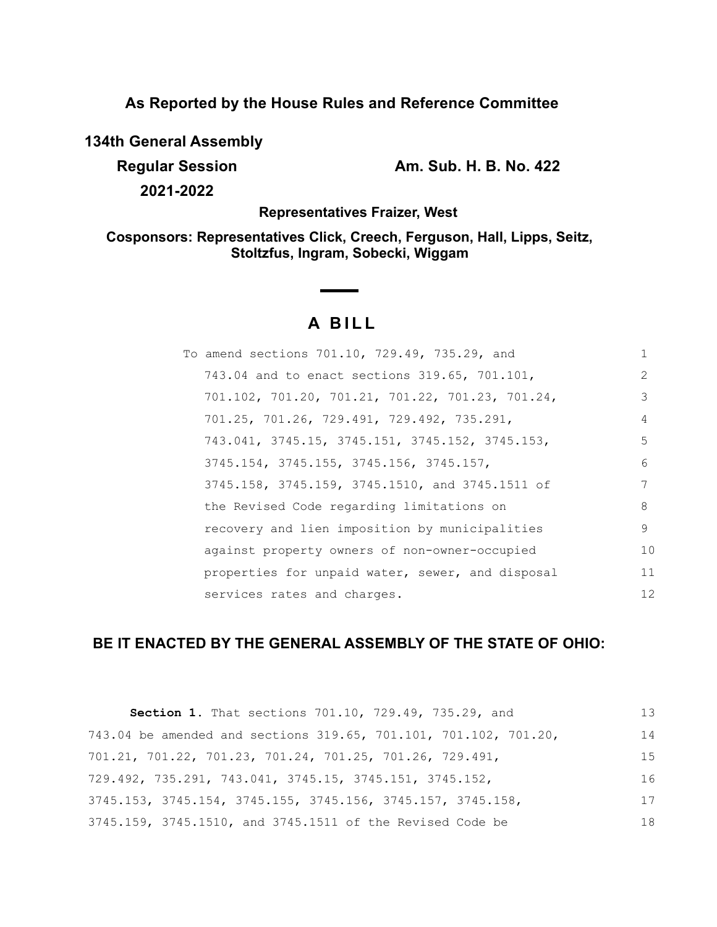**As Reported by the House Rules and Reference Committee**

**134th General Assembly**

**Regular Session Am. Sub. H. B. No. 422**

**2021-2022**

**Representatives Fraizer, West**

**Cosponsors: Representatives Click, Creech, Ferguson, Hall, Lipps, Seitz, Stoltzfus, Ingram, Sobecki, Wiggam**

# **A BILL**

| To amend sections 701.10, 729.49, 735.29, and    |               |
|--------------------------------------------------|---------------|
| 743.04 and to enact sections 319.65, 701.101,    | $\mathcal{L}$ |
| 701.102, 701.20, 701.21, 701.22, 701.23, 701.24, | 3             |
| 701.25, 701.26, 729.491, 729.492, 735.291,       | 4             |
| 743.041, 3745.15, 3745.151, 3745.152, 3745.153,  | 5             |
| 3745.154, 3745.155, 3745.156, 3745.157,          | 6             |
| 3745.158, 3745.159, 3745.1510, and 3745.1511 of  | 7             |
| the Revised Code regarding limitations on        | 8             |
| recovery and lien imposition by municipalities   | 9             |
| against property owners of non-owner-occupied    | 10            |
| properties for unpaid water, sewer, and disposal | 11            |
| services rates and charges.                      | 12            |
|                                                  |               |

## **BE IT ENACTED BY THE GENERAL ASSEMBLY OF THE STATE OF OHIO:**

| Section 1. That sections 701.10, 729.49, 735.29, and                          | 13 |
|-------------------------------------------------------------------------------|----|
| 743.04 be amended and sections 319.65, 701.101, 701.102, 701.20,              | 14 |
| 701.21, 701.22, 701.23, 701.24, 701.25, 701.26, 729.491,                      | 15 |
| $729.492$ , $735.291$ , $743.041$ , $3745.15$ , $3745.151$ , $3745.152$ ,     | 16 |
| $3745.153$ , $3745.154$ , $3745.155$ , $3745.156$ , $3745.157$ , $3745.158$ , | 17 |
| 3745.159, 3745.1510, and 3745.1511 of the Revised Code be                     | 18 |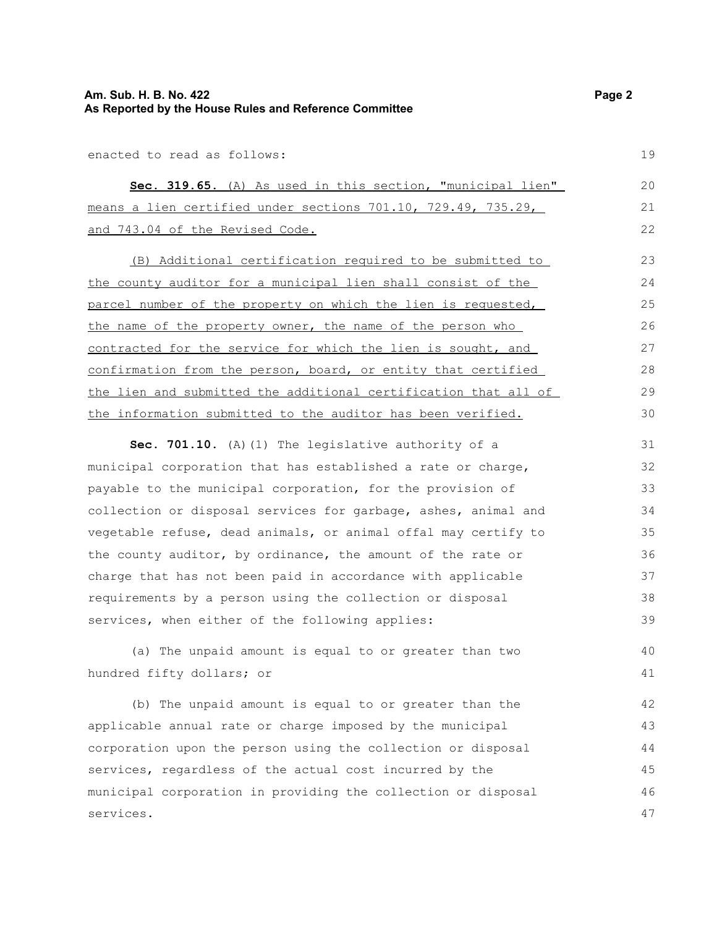enacted to read as follows:

|  |  |                                 |  | Sec. 319.65. (A) As used in this section, "municipal lien"             |  |  | 20 |
|--|--|---------------------------------|--|------------------------------------------------------------------------|--|--|----|
|  |  |                                 |  | means a lien certified under sections $701.10$ , $729.49$ , $735.29$ , |  |  |    |
|  |  | and 743.04 of the Revised Code. |  |                                                                        |  |  | 22 |

(B) Additional certification required to be submitted to the county auditor for a municipal lien shall consist of the parcel number of the property on which the lien is requested, the name of the property owner, the name of the person who contracted for the service for which the lien is sought, and confirmation from the person, board, or entity that certified the lien and submitted the additional certification that all of the information submitted to the auditor has been verified. 23 24 25 26 27 28 29 30

**Sec. 701.10.** (A)(1) The legislative authority of a municipal corporation that has established a rate or charge, payable to the municipal corporation, for the provision of collection or disposal services for garbage, ashes, animal and vegetable refuse, dead animals, or animal offal may certify to the county auditor, by ordinance, the amount of the rate or charge that has not been paid in accordance with applicable requirements by a person using the collection or disposal services, when either of the following applies: 31 32 33 34 35 36 37 38 39

(a) The unpaid amount is equal to or greater than two hundred fifty dollars; or

(b) The unpaid amount is equal to or greater than the applicable annual rate or charge imposed by the municipal corporation upon the person using the collection or disposal services, regardless of the actual cost incurred by the municipal corporation in providing the collection or disposal services. 42 43 44 45 46 47

19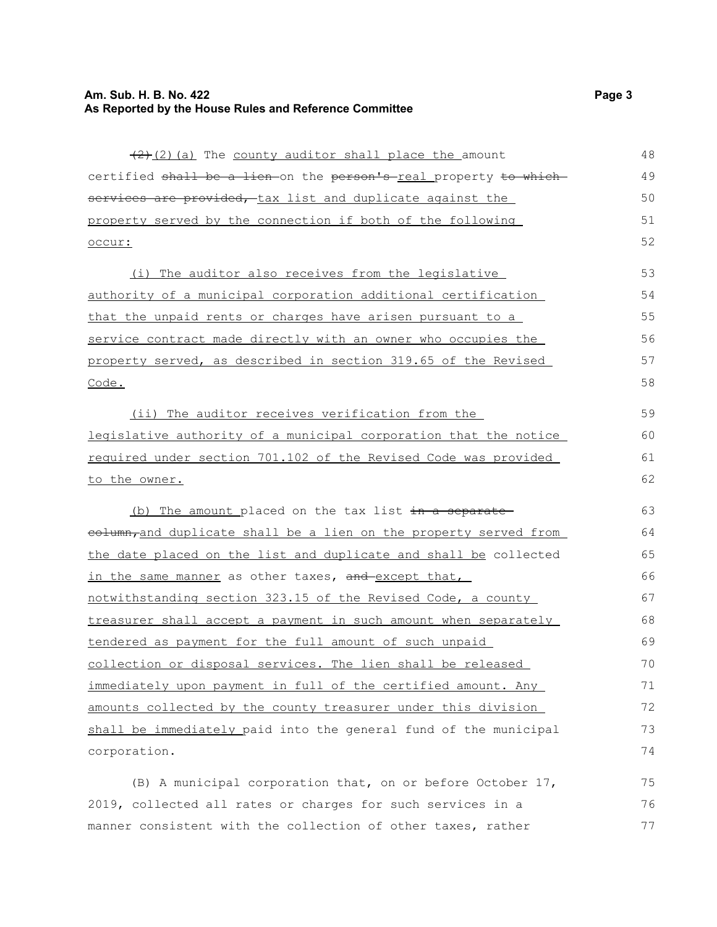#### **Am. Sub. H. B. No. 422 Page 3 As Reported by the House Rules and Reference Committee**

 $(2)$  (a) The county auditor shall place the amount certified shall be a lien on the person's real property to which services are provided, tax list and duplicate against the property served by the connection if both of the following occur: (i) The auditor also receives from the legislative authority of a municipal corporation additional certification that the unpaid rents or charges have arisen pursuant to a service contract made directly with an owner who occupies the property served, as described in section 319.65 of the Revised Code. (ii) The auditor receives verification from the legislative authority of a municipal corporation that the notice required under section 701.102 of the Revised Code was provided to the owner. (b) The amount placed on the tax list  $\frac{1}{x}$  in a separate eolumn,and duplicate shall be a lien on the property served from the date placed on the list and duplicate and shall be collected in the same manner as other taxes, and except that, notwithstanding section 323.15 of the Revised Code, a county treasurer shall accept a payment in such amount when separately tendered as payment for the full amount of such unpaid collection or disposal services. The lien shall be released immediately upon payment in full of the certified amount. Any amounts collected by the county treasurer under this division shall be immediately paid into the general fund of the municipal corporation. 48 49 50 51 52 53 54 55 56 57 58 59 60 61 62 63 64 65 66 67 68 69 70 71 72 73 74

(B) A municipal corporation that, on or before October 17, 2019, collected all rates or charges for such services in a manner consistent with the collection of other taxes, rather 75 76 77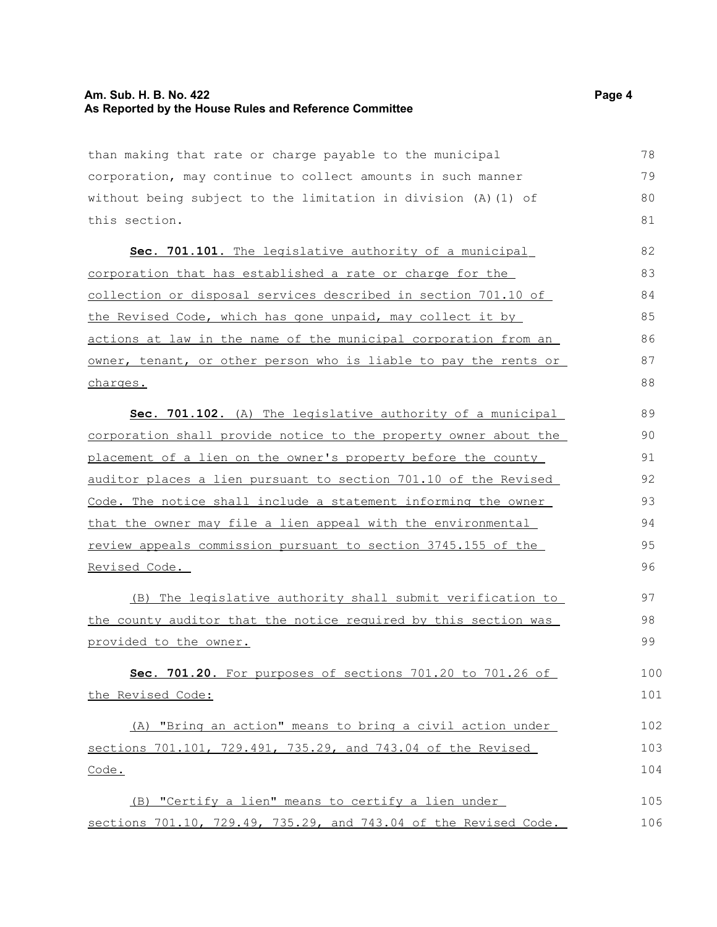#### **Am. Sub. H. B. No. 422 Page 4 As Reported by the House Rules and Reference Committee**

than making that rate or charge payable to the municipal corporation, may continue to collect amounts in such manner without being subject to the limitation in division (A)(1) of this section. 79

Sec. 701.101. The legislative authority of a municipal corporation that has established a rate or charge for the collection or disposal services described in section 701.10 of the Revised Code, which has gone unpaid, may collect it by actions at law in the name of the municipal corporation from an owner, tenant, or other person who is liable to pay the rents or charges.

 **Sec. 701.102.** (A) The legislative authority of a municipal corporation shall provide notice to the property owner about the placement of a lien on the owner's property before the county auditor places a lien pursuant to section 701.10 of the Revised Code. The notice shall include a statement informing the owner that the owner may file a lien appeal with the environmental review appeals commission pursuant to section 3745.155 of the Revised Code. 89 90 91 92 93  $94$ 95 96

(B) The legislative authority shall submit verification to the county auditor that the notice required by this section was provided to the owner.

 **Sec. 701.20.** For purposes of sections 701.20 to 701.26 of the Revised Code: 100 101

(A) "Bring an action" means to bring a civil action under sections 701.101, 729.491, 735.29, and 743.04 of the Revised Code. 102 103 104

(B) "Certify a lien" means to certify a lien under sections 701.10, 729.49, 735.29, and 743.04 of the Revised Code. 105 106

78

80 81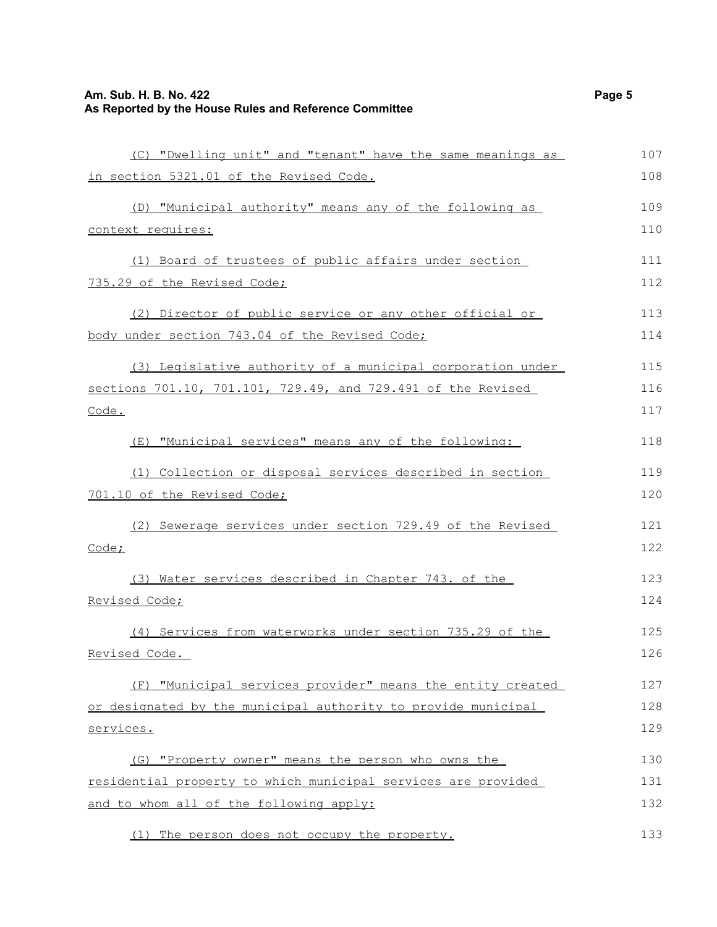## **Am. Sub. H. B. No. 422** Page 5 **As Reported by the House Rules and Reference Committee**

| (C) "Dwelling unit" and "tenant" have the same meanings as    | 107 |
|---------------------------------------------------------------|-----|
| in section 5321.01 of the Revised Code.                       | 108 |
| (D) "Municipal authority" means any of the following as       | 109 |
| context requires:                                             | 110 |
| (1) Board of trustees of public affairs under section         | 111 |
| 735.29 of the Revised Code;                                   | 112 |
| (2) Director of public service or any other official or       | 113 |
| body under section 743.04 of the Revised Code;                | 114 |
| (3) Legislative authority of a municipal corporation under    | 115 |
| sections 701.10, 701.101, 729.49, and 729.491 of the Revised  | 116 |
| Code.                                                         | 117 |
| (E) "Municipal services" means any of the following:          | 118 |
| (1) Collection or disposal services described in section      | 119 |
| 701.10 of the Revised Code;                                   | 120 |
| (2) Sewerage services under section 729.49 of the Revised     | 121 |
| Code;                                                         | 122 |
| (3) Water services described in Chapter 743. of the           | 123 |
| Revised Code;                                                 | 124 |
| (4) Services from waterworks under section 735.29 of the      | 125 |
| Revised Code.                                                 | 126 |
| (F) "Municipal services provider" means the entity created    | 127 |
| or designated by the municipal authority to provide municipal | 128 |
| services.                                                     | 129 |
| (G) "Property owner" means the person who owns the            | 130 |
| residential property to which municipal services are provided | 131 |
| and to whom all of the following apply:                       | 132 |

(1) The person does not occupy the property. 133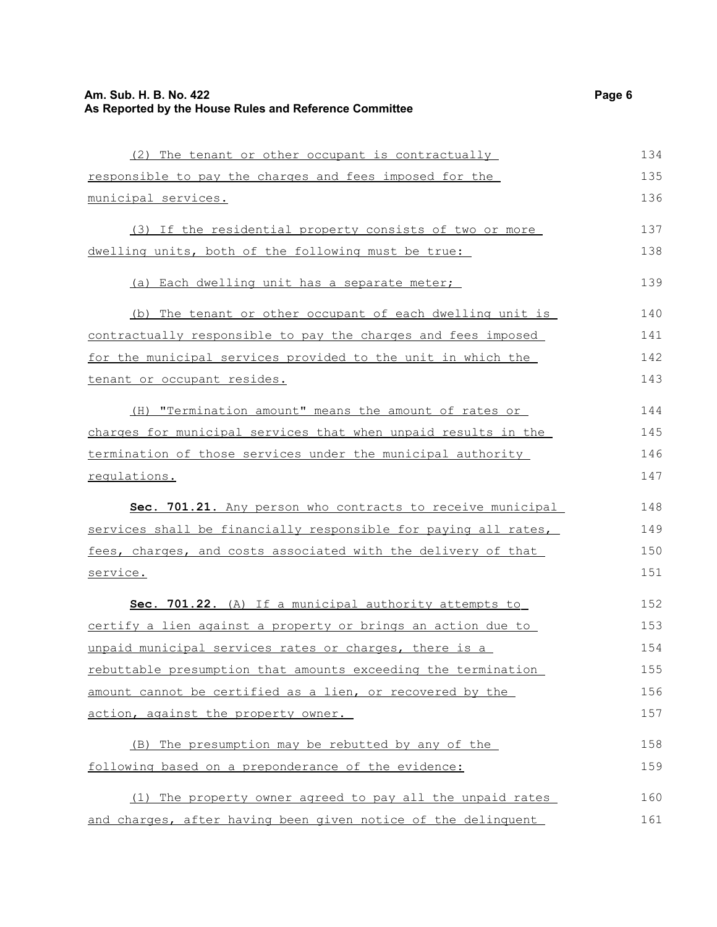#### **Am. Sub. H. B. No. 422 Page 6 As Reported by the House Rules and Reference Committee** (2) The tenant or other occupant is contractually responsible to pay the charges and fees imposed for the municipal services. (3) If the residential property consists of two or more dwelling units, both of the following must be true: (a) Each dwelling unit has a separate meter; (b) The tenant or other occupant of each dwelling unit is contractually responsible to pay the charges and fees imposed for the municipal services provided to the unit in which the tenant or occupant resides. (H) "Termination amount" means the amount of rates or charges for municipal services that when unpaid results in the termination of those services under the municipal authority regulations. **Sec. 701.21.** Any person who contracts to receive municipal services shall be financially responsible for paying all rates, fees, charges, and costs associated with the delivery of that service. **Sec. 701.22.** (A) If a municipal authority attempts to certify a lien against a property or brings an action due to unpaid municipal services rates or charges, there is a rebuttable presumption that amounts exceeding the termination amount cannot be certified as a lien, or recovered by the action, against the property owner. (B) The presumption may be rebutted by any of the following based on a preponderance of the evidence: (1) The property owner agreed to pay all the unpaid rates and charges, after having been given notice of the delinquent 134 135 136 137 138 139 140 141 142 143 144 145 146 147 148 149 150 151 152 153 154 155 156 157 158 159 160 161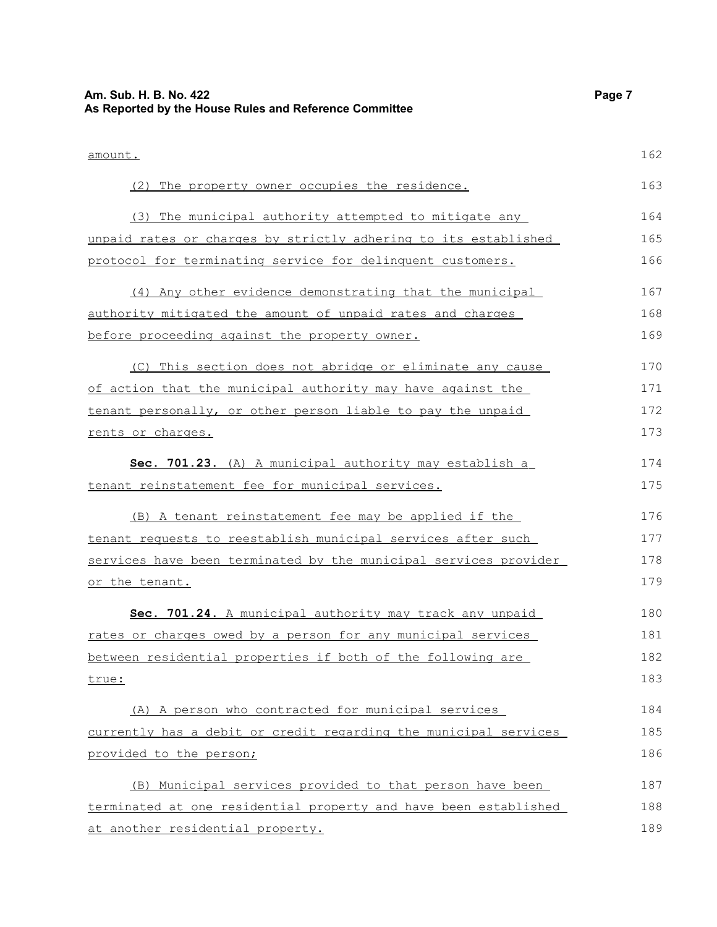| Am. Sub. H. B. No. 422<br>As Reported by the House Rules and Reference Committee | Page 7 |
|----------------------------------------------------------------------------------|--------|
| amount.                                                                          | 162    |
| (2) The property owner occupies the residence.                                   | 163    |
| (3) The municipal authority attempted to mitigate any                            | 164    |
| unpaid rates or charges by strictly adhering to its established                  | 165    |
| protocol for terminating service for delinquent customers.                       | 166    |
| (4) Any other evidence demonstrating that the municipal                          | 167    |
| authority mitigated the amount of unpaid rates and charges                       | 168    |
| before proceeding against the property owner.                                    | 169    |
| (C) This section does not abridge or eliminate any cause                         | 170    |
| of action that the municipal authority may have against the                      | 171    |
| tenant personally, or other person liable to pay the unpaid                      | 172    |
| rents or charges.                                                                | 173    |
| Sec. 701.23. (A) A municipal authority may establish a                           | 174    |
| tenant reinstatement fee for municipal services.                                 | 175    |
| (B) A tenant reinstatement fee may be applied if the                             | 176    |
| tenant requests to reestablish municipal services after such                     | 177    |
| services have been terminated by the municipal services provider                 | 178    |
| or the tenant.                                                                   | 179    |
| Sec. 701.24. A municipal authority may track any unpaid                          | 180    |
| rates or charges owed by a person for any municipal services                     | 181    |
| between residential properties if both of the following are                      | 182    |
| true:                                                                            | 183    |
| (A) A person who contracted for municipal services                               | 184    |
| currently has a debit or credit regarding the municipal services                 | 185    |
| provided to the person;                                                          | 186    |
| (B) Municipal services provided to that person have been                         | 187    |
| terminated at one residential property and have been established                 | 188    |
| at another residential property.                                                 | 189    |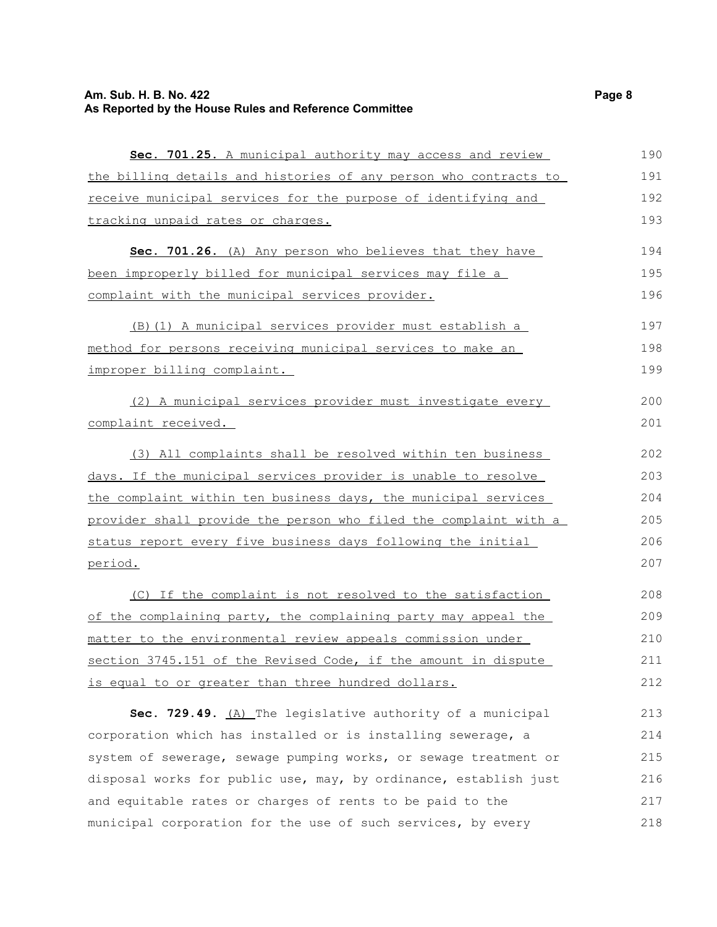## **Am. Sub. H. B. No. 422** Page 8 **As Reported by the House Rules and Reference Committee**

| Sec. 701.25. A municipal authority may access and review           | 190 |
|--------------------------------------------------------------------|-----|
| the billing details and histories of any person who contracts to   | 191 |
| receive municipal services for the purpose of identifying and      | 192 |
| tracking unpaid rates or charges.                                  | 193 |
| Sec. 701.26. (A) Any person who believes that they have            | 194 |
| been improperly billed for municipal services may file a           | 195 |
| complaint with the municipal services provider.                    | 196 |
| (B) (1) A municipal services provider must establish a             | 197 |
| <u>method for persons receiving municipal services to make an </u> | 198 |
| improper billing complaint.                                        | 199 |
| (2) A municipal services provider must investigate every           | 200 |
| complaint received.                                                | 201 |
| (3) All complaints shall be resolved within ten business           | 202 |
| days. If the municipal services provider is unable to resolve      | 203 |
| the complaint within ten business days, the municipal services     | 204 |
| provider shall provide the person who filed the complaint with a   | 205 |
| status report every five business days following the initial       | 206 |
| period.                                                            | 207 |
| (C) If the complaint is not resolved to the satisfaction           | 208 |
| of the complaining party, the complaining party may appeal the     | 209 |
| matter to the environmental review appeals commission under        | 210 |
| section 3745.151 of the Revised Code, if the amount in dispute     | 211 |
| <u>is equal to or greater than three hundred dollars.</u>          | 212 |
| Sec. 729.49. (A) The legislative authority of a municipal          | 213 |
| corporation which has installed or is installing sewerage, a       | 214 |
| system of sewerage, sewage pumping works, or sewage treatment or   | 215 |
| disposal works for public use, may, by ordinance, establish just   | 216 |
| and equitable rates or charges of rents to be paid to the          | 217 |
| municipal corporation for the use of such services, by every       | 218 |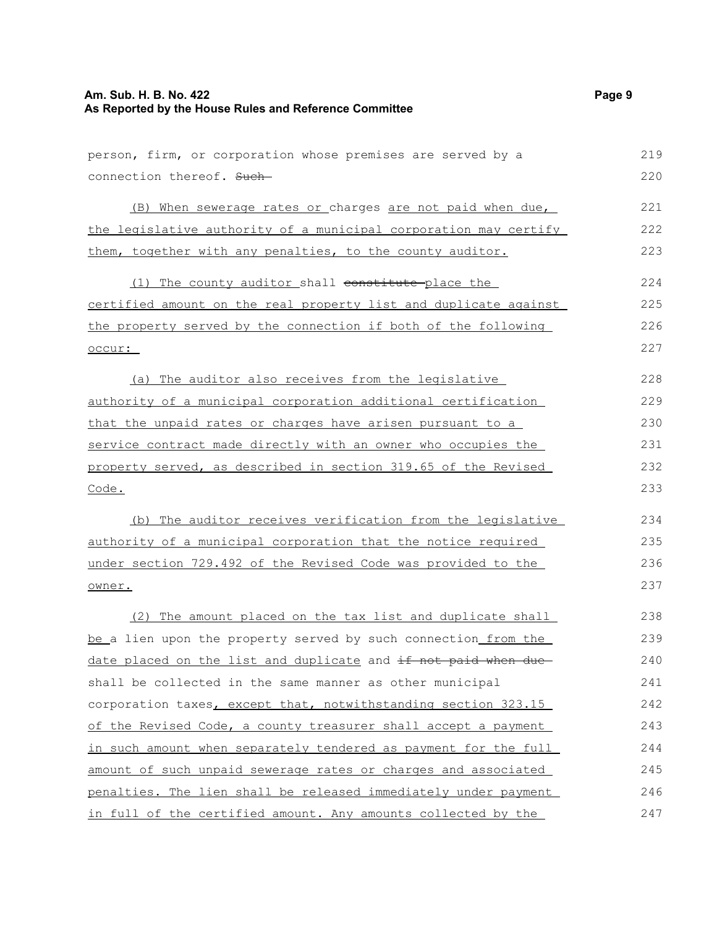## **Am. Sub. H. B. No. 422** Page 9 **As Reported by the House Rules and Reference Committee**

| person, firm, or corporation whose premises are served by a      | 219 |
|------------------------------------------------------------------|-----|
| connection thereof. Such-                                        | 220 |
| (B) When sewerage rates or charges are not paid when due,        | 221 |
| the legislative authority of a municipal corporation may certify | 222 |
| them, together with any penalties, to the county auditor.        | 223 |
| (1) The county auditor shall constitute place the                | 224 |
| certified amount on the real property list and duplicate against | 225 |
| the property served by the connection if both of the following   | 226 |
| occur:                                                           | 227 |
| (a) The auditor also receives from the legislative               | 228 |
| authority of a municipal corporation additional certification    | 229 |
| that the unpaid rates or charges have arisen pursuant to a       | 230 |
| service contract made directly with an owner who occupies the    | 231 |
| property served, as described in section 319.65 of the Revised   | 232 |
| Code.                                                            | 233 |
| (b) The auditor receives verification from the legislative       | 234 |
| authority of a municipal corporation that the notice required    | 235 |
| under section 729.492 of the Revised Code was provided to the    | 236 |
| owner.                                                           | 237 |
| (2) The amount placed on the tax list and duplicate shall        | 238 |
| be a lien upon the property served by such connection from the   | 239 |
| date placed on the list and duplicate and if not paid when due-  | 240 |
| shall be collected in the same manner as other municipal         | 241 |
| corporation taxes, except that, notwithstanding section 323.15   | 242 |
| of the Revised Code, a county treasurer shall accept a payment   | 243 |
| in such amount when separately tendered as payment for the full  | 244 |
| amount of such unpaid sewerage rates or charges and associated   | 245 |
| penalties. The lien shall be released immediately under payment  | 246 |
| in full of the certified amount. Any amounts collected by the    | 247 |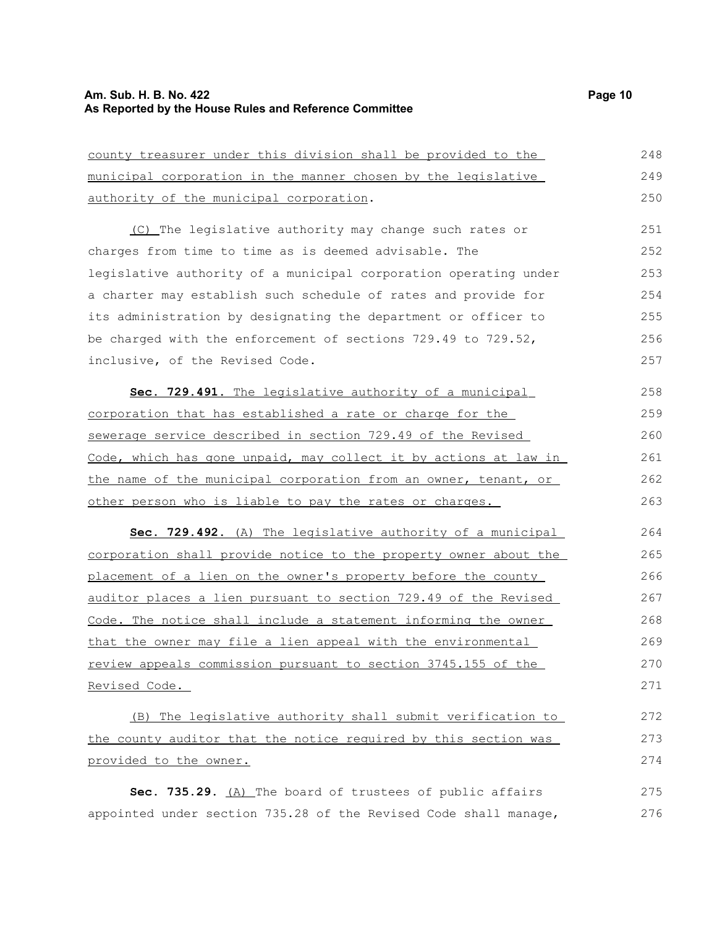## **Am. Sub. H. B. No. 422** Page 10 **As Reported by the House Rules and Reference Committee**

| county treasurer under this division shall be provided to the    | 248 |
|------------------------------------------------------------------|-----|
| municipal corporation in the manner chosen by the legislative    | 249 |
| authority of the municipal corporation.                          | 250 |
| (C) The legislative authority may change such rates or           | 251 |
| charges from time to time as is deemed advisable. The            | 252 |
| legislative authority of a municipal corporation operating under | 253 |
| a charter may establish such schedule of rates and provide for   | 254 |
| its administration by designating the department or officer to   | 255 |
| be charged with the enforcement of sections 729.49 to 729.52,    | 256 |
| inclusive, of the Revised Code.                                  | 257 |
| Sec. 729.491. The legislative authority of a municipal           | 258 |
| corporation that has established a rate or charge for the        | 259 |
| sewerage service described in section 729.49 of the Revised      | 260 |
| Code, which has gone unpaid, may collect it by actions at law in | 261 |
| the name of the municipal corporation from an owner, tenant, or  | 262 |
| other person who is liable to pay the rates or charges.          | 263 |
| Sec. 729.492. (A) The legislative authority of a municipal       | 264 |
| corporation shall provide notice to the property owner about the | 265 |
| placement of a lien on the owner's property before the county    | 266 |
| auditor places a lien pursuant to section 729.49 of the Revised  | 267 |
| Code. The notice shall include a statement informing the owner   | 268 |
| that the owner may file a lien appeal with the environmental     | 269 |
| review appeals commission pursuant to section 3745.155 of the    | 270 |
| Revised Code.                                                    | 271 |
| (B) The legislative authority shall submit verification to       | 272 |
| the county auditor that the notice required by this section was  | 273 |
| provided to the owner.                                           | 274 |
| Sec. 735.29. (A) The board of trustees of public affairs         | 275 |
| appointed under section 735.28 of the Revised Code shall manage, | 276 |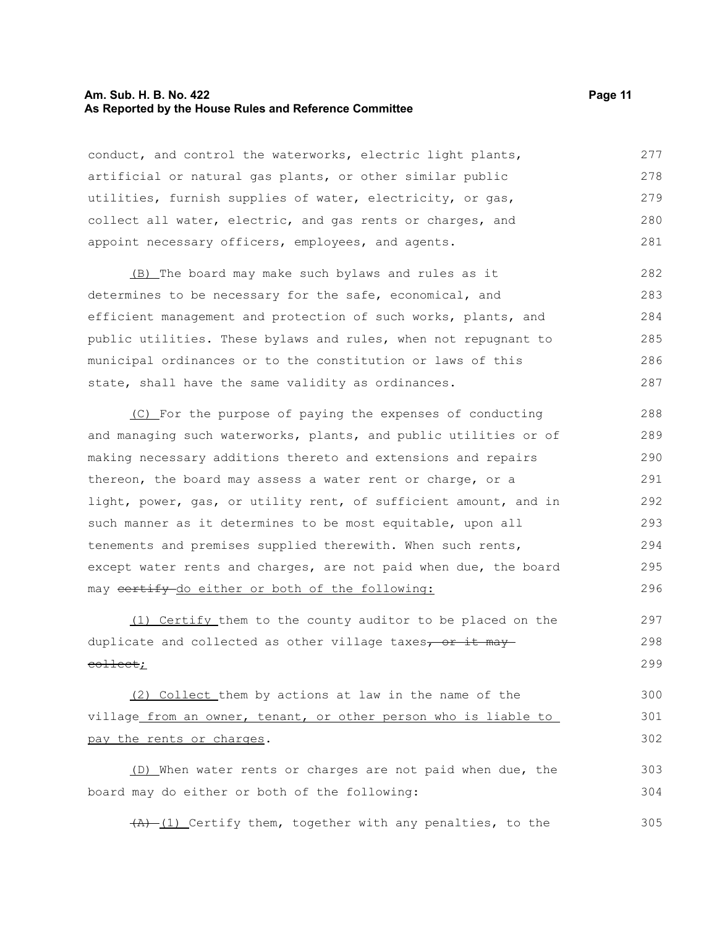#### **Am. Sub. H. B. No. 422 Page 11 As Reported by the House Rules and Reference Committee**

conduct, and control the waterworks, electric light plants, artificial or natural gas plants, or other similar public utilities, furnish supplies of water, electricity, or gas, collect all water, electric, and gas rents or charges, and appoint necessary officers, employees, and agents. 277 278 279 280 281

(B) The board may make such bylaws and rules as it determines to be necessary for the safe, economical, and efficient management and protection of such works, plants, and public utilities. These bylaws and rules, when not repugnant to municipal ordinances or to the constitution or laws of this state, shall have the same validity as ordinances. 282 283 284 285 286 287

(C) For the purpose of paying the expenses of conducting and managing such waterworks, plants, and public utilities or of making necessary additions thereto and extensions and repairs thereon, the board may assess a water rent or charge, or a light, power, gas, or utility rent, of sufficient amount, and in such manner as it determines to be most equitable, upon all tenements and premises supplied therewith. When such rents, except water rents and charges, are not paid when due, the board may certify do either or both of the following: 288 289 290 291 292 293 294 295 296

(1) Certify them to the county auditor to be placed on the duplicate and collected as other village taxes, or it may collect; 297 298 299

(2) Collect them by actions at law in the name of the village from an owner, tenant, or other person who is liable to pay the rents or charges. 300 301 302

(D) When water rents or charges are not paid when due, the board may do either or both of the following: 303 304

 $(A)$  (1) Certify them, together with any penalties, to the 305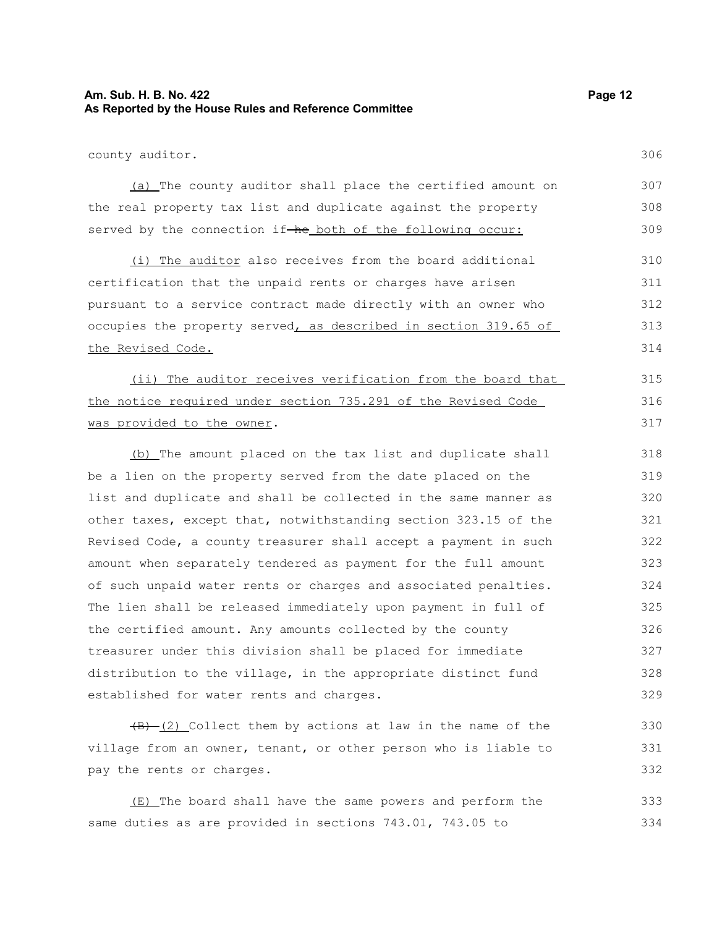#### **Am. Sub. H. B. No. 422 Page 12 As Reported by the House Rules and Reference Committee**

county auditor.

306

330 331 332

| (a) The county auditor shall place the certified amount on     | 307 |
|----------------------------------------------------------------|-----|
| the real property tax list and duplicate against the property  | 308 |
| served by the connection if-he both of the following occur:    | 309 |
| (i) The auditor also receives from the board additional        | 310 |
| certification that the unpaid rents or charges have arisen     | 311 |
| pursuant to a service contract made directly with an owner who | 312 |

occupies the property served, as described in section 319.65 of the Revised Code. 313 314

(ii) The auditor receives verification from the board that the notice required under section 735.291 of the Revised Code was provided to the owner. 315 316 317

(b) The amount placed on the tax list and duplicate shall be a lien on the property served from the date placed on the list and duplicate and shall be collected in the same manner as other taxes, except that, notwithstanding section 323.15 of the Revised Code, a county treasurer shall accept a payment in such amount when separately tendered as payment for the full amount of such unpaid water rents or charges and associated penalties. The lien shall be released immediately upon payment in full of the certified amount. Any amounts collected by the county treasurer under this division shall be placed for immediate distribution to the village, in the appropriate distinct fund established for water rents and charges. 318 319 320 321 322 323 324 325 326 327 328 329

 $(B)$  (2) Collect them by actions at law in the name of the village from an owner, tenant, or other person who is liable to pay the rents or charges.

(E) The board shall have the same powers and perform the same duties as are provided in sections 743.01, 743.05 to 333 334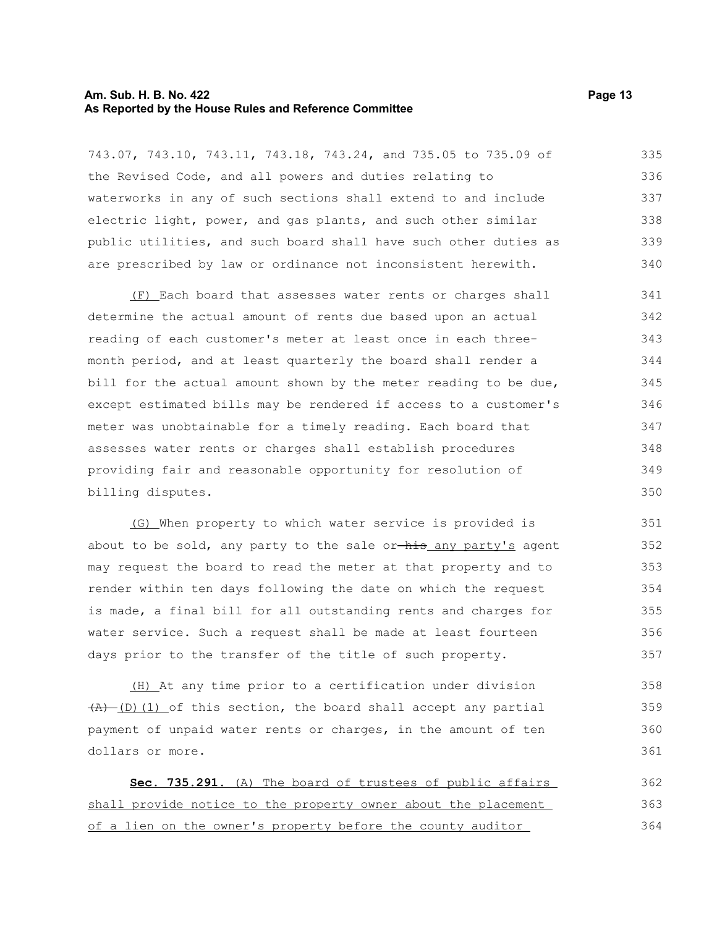#### **Am. Sub. H. B. No. 422 Page 13 As Reported by the House Rules and Reference Committee**

743.07, 743.10, 743.11, 743.18, 743.24, and 735.05 to 735.09 of the Revised Code, and all powers and duties relating to waterworks in any of such sections shall extend to and include electric light, power, and gas plants, and such other similar public utilities, and such board shall have such other duties as are prescribed by law or ordinance not inconsistent herewith. 335 336 337 338 339 340

(F) Each board that assesses water rents or charges shall determine the actual amount of rents due based upon an actual reading of each customer's meter at least once in each threemonth period, and at least quarterly the board shall render a bill for the actual amount shown by the meter reading to be due, except estimated bills may be rendered if access to a customer's meter was unobtainable for a timely reading. Each board that assesses water rents or charges shall establish procedures providing fair and reasonable opportunity for resolution of billing disputes. 341 342 343 344 345 346 347 348 349 350

(G) When property to which water service is provided is about to be sold, any party to the sale or-his any party's agent may request the board to read the meter at that property and to render within ten days following the date on which the request is made, a final bill for all outstanding rents and charges for water service. Such a request shall be made at least fourteen days prior to the transfer of the title of such property.

(H) At any time prior to a certification under division  $(A)$  (D)(1) of this section, the board shall accept any partial payment of unpaid water rents or charges, in the amount of ten dollars or more. 358 359 360 361

 **Sec. 735.291.** (A) The board of trustees of public affairs shall provide notice to the property owner about the placement of a lien on the owner's property before the county auditor 362 363 364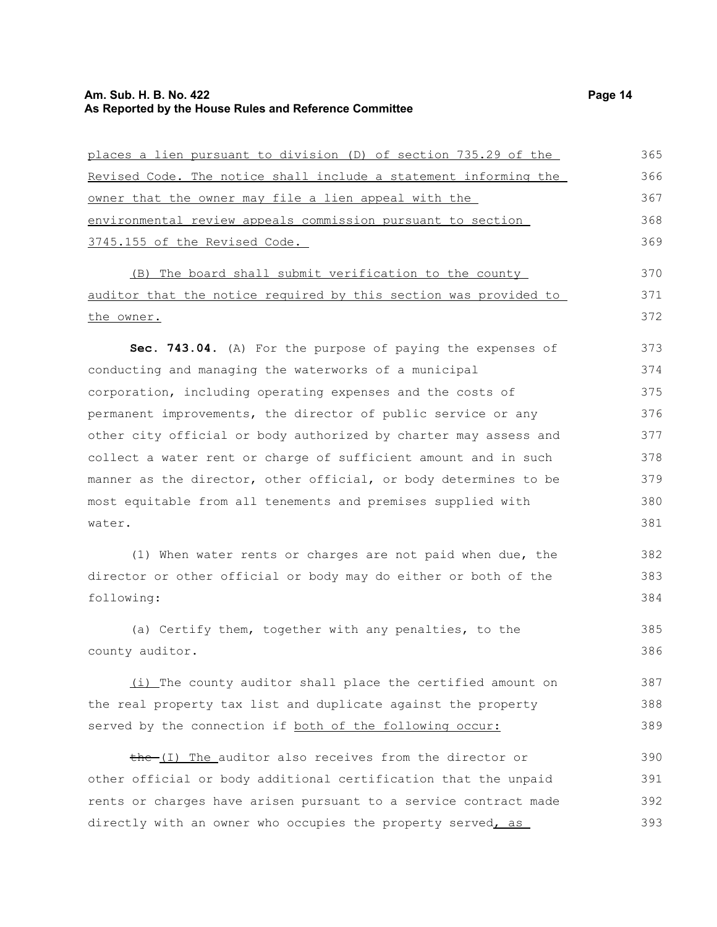#### **Am. Sub. H. B. No. 422 Page 14 As Reported by the House Rules and Reference Committee**

places a lien pursuant to division (D) of section 735.29 of the Revised Code. The notice shall include a statement informing the owner that the owner may file a lien appeal with the environmental review appeals commission pursuant to section 3745.155 of the Revised Code. (B) The board shall submit verification to the county auditor that the notice required by this section was provided to the owner. **Sec. 743.04.** (A) For the purpose of paying the expenses of conducting and managing the waterworks of a municipal corporation, including operating expenses and the costs of permanent improvements, the director of public service or any other city official or body authorized by charter may assess and collect a water rent or charge of sufficient amount and in such manner as the director, other official, or body determines to be most equitable from all tenements and premises supplied with water.

(1) When water rents or charges are not paid when due, the director or other official or body may do either or both of the following:

(a) Certify them, together with any penalties, to the county auditor. 385 386

(i) The county auditor shall place the certified amount on the real property tax list and duplicate against the property served by the connection if both of the following occur: 387 388 389

the (I) The auditor also receives from the director or other official or body additional certification that the unpaid rents or charges have arisen pursuant to a service contract made directly with an owner who occupies the property served, as 390 391 392 393

370 371 372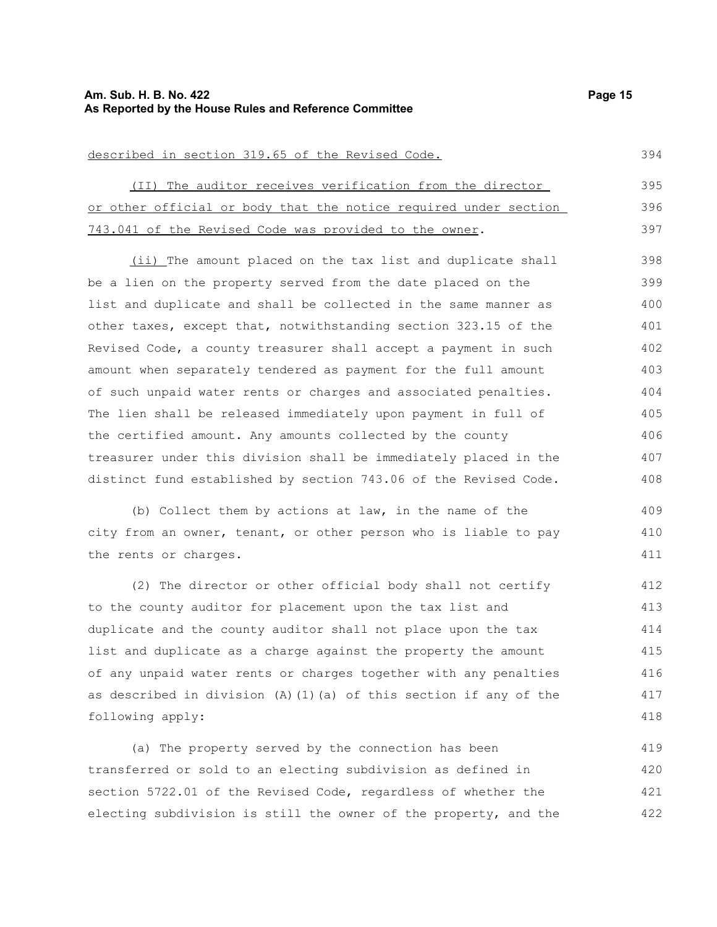#### **Am. Sub. H. B. No. 422 Page 15 As Reported by the House Rules and Reference Committee**

described in section 319.65 of the Revised Code.

(II) The auditor receives verification from the director or other official or body that the notice required under section 743.041 of the Revised Code was provided to the owner. 395 396 397

(ii) The amount placed on the tax list and duplicate shall be a lien on the property served from the date placed on the list and duplicate and shall be collected in the same manner as other taxes, except that, notwithstanding section 323.15 of the Revised Code, a county treasurer shall accept a payment in such amount when separately tendered as payment for the full amount of such unpaid water rents or charges and associated penalties. The lien shall be released immediately upon payment in full of the certified amount. Any amounts collected by the county treasurer under this division shall be immediately placed in the distinct fund established by section 743.06 of the Revised Code. 398 399 400 401 402 403 404 405 406 407 408

(b) Collect them by actions at law, in the name of the city from an owner, tenant, or other person who is liable to pay the rents or charges.

(2) The director or other official body shall not certify to the county auditor for placement upon the tax list and duplicate and the county auditor shall not place upon the tax list and duplicate as a charge against the property the amount of any unpaid water rents or charges together with any penalties as described in division  $(A)$  (1)(a) of this section if any of the following apply: 412 413 414 415 416 417 418

(a) The property served by the connection has been transferred or sold to an electing subdivision as defined in section 5722.01 of the Revised Code, regardless of whether the electing subdivision is still the owner of the property, and the 419 420 421 422

394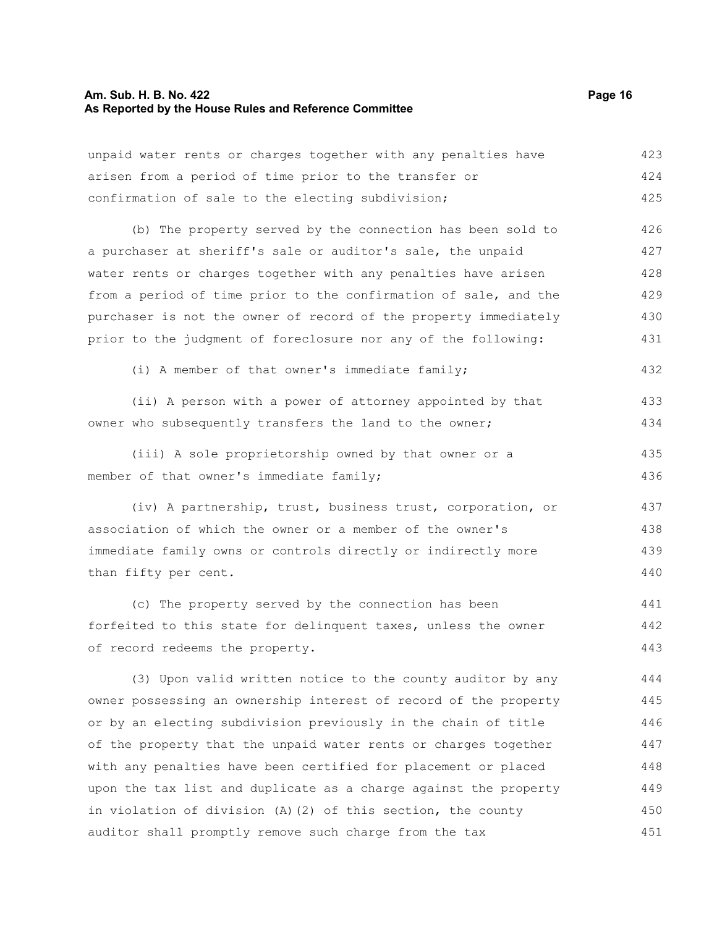#### **Am. Sub. H. B. No. 422 Page 16 As Reported by the House Rules and Reference Committee**

unpaid water rents or charges together with any penalties have arisen from a period of time prior to the transfer or confirmation of sale to the electing subdivision; 423 424 425

(b) The property served by the connection has been sold to a purchaser at sheriff's sale or auditor's sale, the unpaid water rents or charges together with any penalties have arisen from a period of time prior to the confirmation of sale, and the purchaser is not the owner of record of the property immediately prior to the judgment of foreclosure nor any of the following: 426 427 428 429 430 431

(i) A member of that owner's immediate family; 432

(ii) A person with a power of attorney appointed by that owner who subsequently transfers the land to the owner; 433 434

(iii) A sole proprietorship owned by that owner or a member of that owner's immediate family; 435 436

(iv) A partnership, trust, business trust, corporation, or association of which the owner or a member of the owner's immediate family owns or controls directly or indirectly more than fifty per cent. 437 438 439 440

(c) The property served by the connection has been forfeited to this state for delinquent taxes, unless the owner of record redeems the property. 441 442 443

(3) Upon valid written notice to the county auditor by any owner possessing an ownership interest of record of the property or by an electing subdivision previously in the chain of title of the property that the unpaid water rents or charges together with any penalties have been certified for placement or placed upon the tax list and duplicate as a charge against the property in violation of division (A)(2) of this section, the county auditor shall promptly remove such charge from the tax 444 445 446 447 448 449 450 451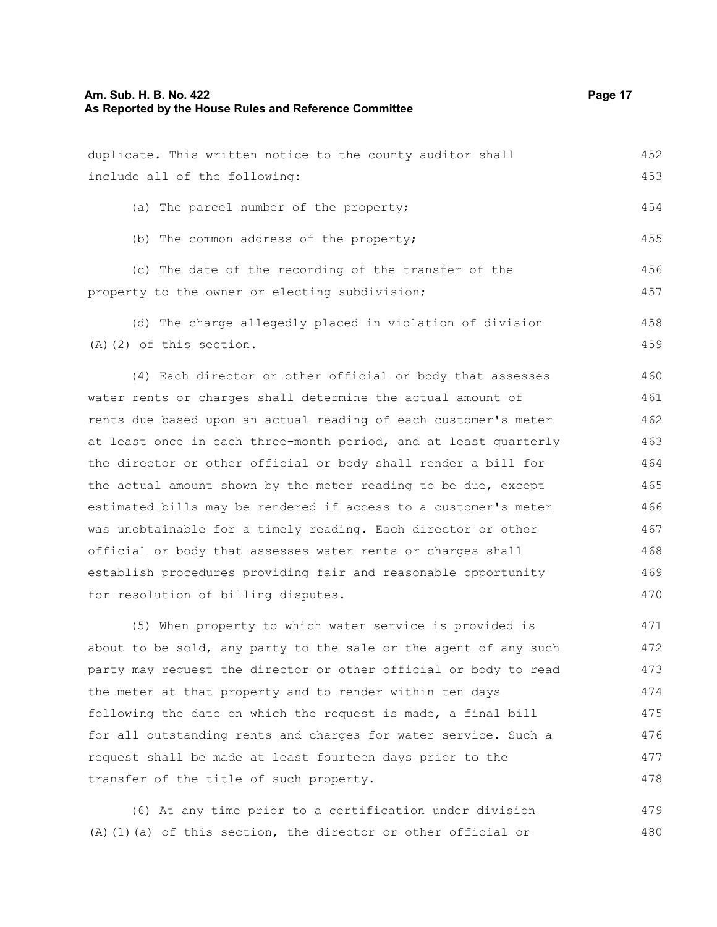477 478

| duplicate. This written notice to the county auditor shall       | 452 |
|------------------------------------------------------------------|-----|
| include all of the following:                                    | 453 |
| (a) The parcel number of the property;                           | 454 |
|                                                                  |     |
| (b) The common address of the property;                          | 455 |
| (c) The date of the recording of the transfer of the             | 456 |
| property to the owner or electing subdivision;                   | 457 |
| (d) The charge allegedly placed in violation of division         | 458 |
| $(A)$ $(2)$ of this section.                                     | 459 |
| (4) Each director or other official or body that assesses        | 460 |
| water rents or charges shall determine the actual amount of      | 461 |
| rents due based upon an actual reading of each customer's meter  | 462 |
| at least once in each three-month period, and at least quarterly | 463 |
| the director or other official or body shall render a bill for   | 464 |
| the actual amount shown by the meter reading to be due, except   | 465 |
| estimated bills may be rendered if access to a customer's meter  | 466 |
| was unobtainable for a timely reading. Each director or other    | 467 |
| official or body that assesses water rents or charges shall      | 468 |
| establish procedures providing fair and reasonable opportunity   | 469 |
| for resolution of billing disputes.                              | 470 |
| (5) When property to which water service is provided is          | 471 |
| about to be sold, any party to the sale or the agent of any such | 472 |
| party may request the director or other official or body to read | 473 |
| the meter at that property and to render within ten days         | 474 |
| following the date on which the request is made, a final bill    | 475 |

(6) At any time prior to a certification under division (A)(1)(a) of this section, the director or other official or 479 480

for all outstanding rents and charges for water service. Such a 476

request shall be made at least fourteen days prior to the

transfer of the title of such property.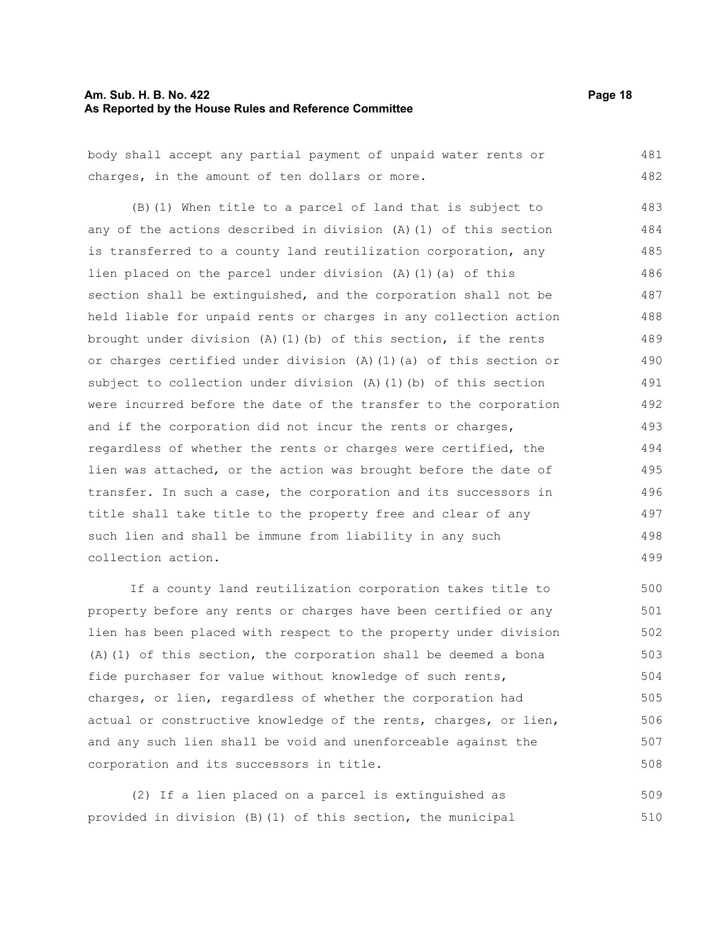#### **Am. Sub. H. B. No. 422 Page 18 As Reported by the House Rules and Reference Committee**

|  |  |  | body shall accept any partial payment of unpaid water rents or |  |  |  | 481 |
|--|--|--|----------------------------------------------------------------|--|--|--|-----|
|  |  |  | charges, in the amount of ten dollars or more.                 |  |  |  | 482 |

(B)(1) When title to a parcel of land that is subject to any of the actions described in division (A)(1) of this section is transferred to a county land reutilization corporation, any lien placed on the parcel under division (A)(1)(a) of this section shall be extinguished, and the corporation shall not be held liable for unpaid rents or charges in any collection action brought under division (A)(1)(b) of this section, if the rents or charges certified under division (A)(1)(a) of this section or subject to collection under division (A)(1)(b) of this section were incurred before the date of the transfer to the corporation and if the corporation did not incur the rents or charges, regardless of whether the rents or charges were certified, the lien was attached, or the action was brought before the date of transfer. In such a case, the corporation and its successors in title shall take title to the property free and clear of any such lien and shall be immune from liability in any such collection action. 483 484 485 486 487 488 489 490 491 492 493 494 495 496 497 498 499

If a county land reutilization corporation takes title to property before any rents or charges have been certified or any lien has been placed with respect to the property under division (A)(1) of this section, the corporation shall be deemed a bona fide purchaser for value without knowledge of such rents, charges, or lien, regardless of whether the corporation had actual or constructive knowledge of the rents, charges, or lien, and any such lien shall be void and unenforceable against the corporation and its successors in title. 500 501 502 503 504 505 506 507 508

(2) If a lien placed on a parcel is extinguished as provided in division (B)(1) of this section, the municipal 509 510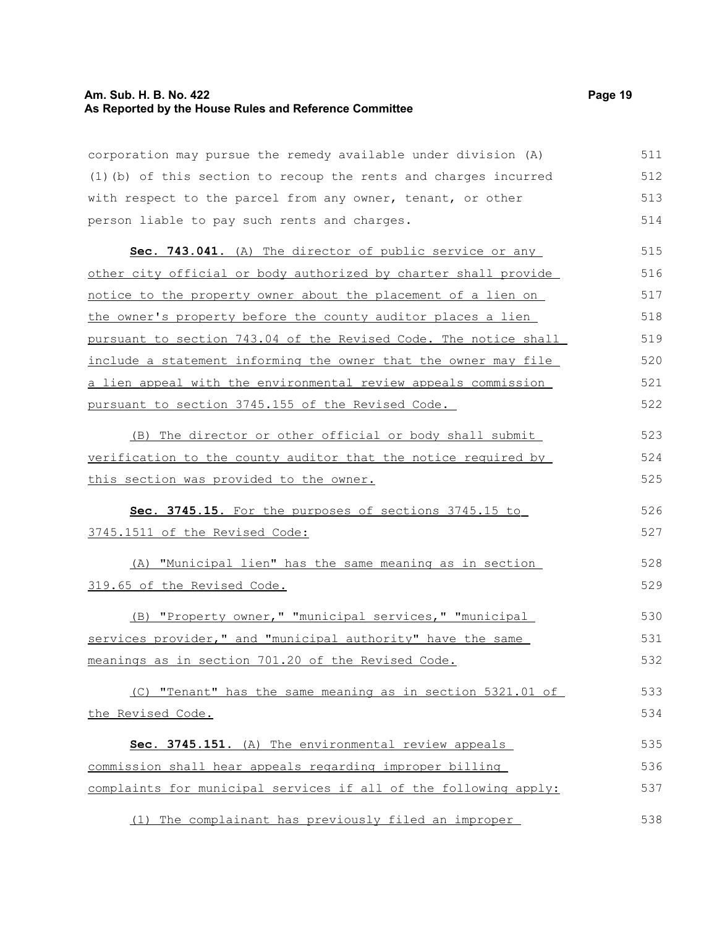#### **Am. Sub. H. B. No. 422 Page 19 As Reported by the House Rules and Reference Committee**

corporation may pursue the remedy available under division (A) (1)(b) of this section to recoup the rents and charges incurred with respect to the parcel from any owner, tenant, or other

person liable to pay such rents and charges. **Sec. 743.041.** (A) The director of public service or any other city official or body authorized by charter shall provide notice to the property owner about the placement of a lien on the owner's property before the county auditor places a lien pursuant to section 743.04 of the Revised Code. The notice shall include a statement informing the owner that the owner may file a lien appeal with the environmental review appeals commission pursuant to section 3745.155 of the Revised Code. 514 515 516 517 518 519 520 521 522

(B) The director or other official or body shall submit verification to the county auditor that the notice required by this section was provided to the owner. 523 524 525

 **Sec. 3745.15.** For the purposes of sections 3745.15 to 3745.1511 of the Revised Code: 526

(A) "Municipal lien" has the same meaning as in section 319.65 of the Revised Code. 528 529

(B) "Property owner," "municipal services," "municipal services provider," and "municipal authority" have the same meanings as in section 701.20 of the Revised Code. 530 531 532

(C) "Tenant" has the same meaning as in section 5321.01 of the Revised Code. 533 534

 **Sec. 3745.151.** (A) The environmental review appeals commission shall hear appeals regarding improper billing complaints for municipal services if all of the following apply: 535 536 537

(1) The complainant has previously filed an improper 538

511 512 513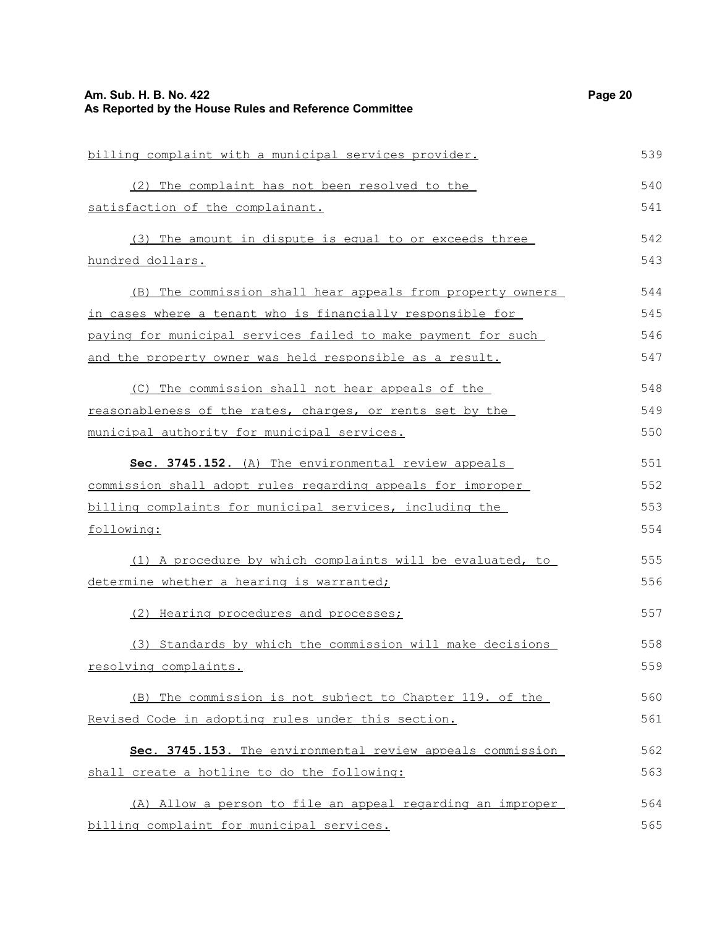| Am. Sub. H. B. No. 422<br>As Reported by the House Rules and Reference Committee | Page 20 |
|----------------------------------------------------------------------------------|---------|
| billing complaint with a municipal services provider.                            | 539     |
| (2) The complaint has not been resolved to the                                   | 540     |
| satisfaction of the complainant.                                                 | 541     |
| (3) The amount in dispute is equal to or exceeds three                           | 542     |
| hundred dollars.                                                                 | 543     |
| (B) The commission shall hear appeals from property owners                       | 544     |
| in cases where a tenant who is financially responsible for                       | 545     |
| paying for municipal services failed to make payment for such                    | 546     |
| and the property owner was held responsible as a result.                         | 547     |
| (C) The commission shall not hear appeals of the                                 | 548     |
| reasonableness of the rates, charges, or rents set by the                        | 549     |
| municipal authority for municipal services.                                      | 550     |
| Sec. 3745.152. (A) The environmental review appeals                              | 551     |
| commission shall adopt rules regarding appeals for improper                      | 552     |
| billing complaints for municipal services, including the                         | 553     |
| following:                                                                       | 554     |
| (1) A procedure by which complaints will be evaluated, to                        | 555     |
| determine whether a hearing is warranted;                                        | 556     |
| (2) Hearing procedures and processes;                                            | 557     |
| (3) Standards by which the commission will make decisions                        | 558     |
| resolving complaints.                                                            | 559     |
| (B) The commission is not subject to Chapter 119. of the                         | 560     |
| Revised Code in adopting rules under this section.                               | 561     |
| Sec. 3745.153. The environmental review appeals commission                       | 562     |
| shall create a hotline to do the following:                                      | 563     |
| (A) Allow a person to file an appeal regarding an improper                       | 564     |
| billing complaint for municipal services.                                        | 565     |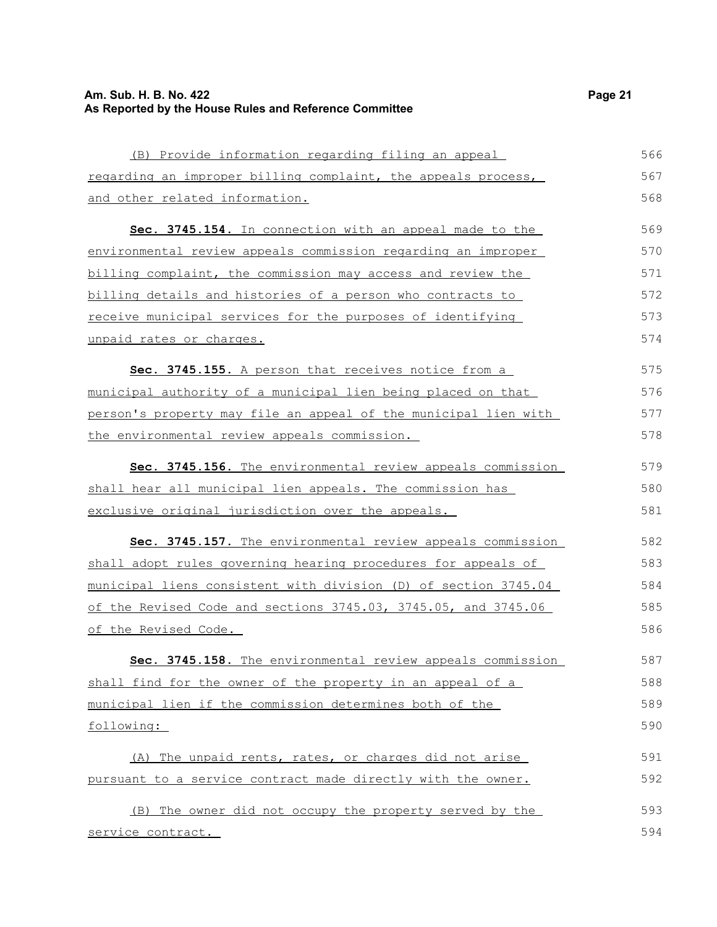## **Am. Sub. H. B. No. 422** Page 21 **As Reported by the House Rules and Reference Committee**

| (B) Provide information regarding filing an appeal              | 566 |
|-----------------------------------------------------------------|-----|
| regarding an improper billing complaint, the appeals process,   | 567 |
| and other related information.                                  | 568 |
| Sec. 3745.154. In connection with an appeal made to the         | 569 |
| environmental review appeals commission regarding an improper   | 570 |
| billing complaint, the commission may access and review the     | 571 |
| billing details and histories of a person who contracts to      | 572 |
| receive municipal services for the purposes of identifying      | 573 |
| unpaid rates or charges.                                        | 574 |
| Sec. 3745.155. A person that receives notice from a             | 575 |
| municipal authority of a municipal lien being placed on that    | 576 |
| person's property may file an appeal of the municipal lien with | 577 |
| the environmental review appeals commission.                    | 578 |
| Sec. 3745.156. The environmental review appeals commission      | 579 |
| shall hear all municipal lien appeals. The commission has       | 580 |
| exclusive original jurisdiction over the appeals.               | 581 |
| Sec. 3745.157. The environmental review appeals commission      | 582 |
| shall adopt rules governing hearing procedures for appeals of   | 583 |
| municipal liens consistent with division (D) of section 3745.04 | 584 |
| of the Revised Code and sections 3745.03, 3745.05, and 3745.06  | 585 |
| <u>of the Revised Code.</u>                                     | 586 |
| Sec. 3745.158. The environmental review appeals commission      | 587 |
| shall find for the owner of the property in an appeal of a      | 588 |
| municipal lien if the commission determines both of the         | 589 |
| following:                                                      | 590 |
| (A) The unpaid rents, rates, or charges did not arise           | 591 |
| pursuant to a service contract made directly with the owner.    | 592 |
| (B) The owner did not occupy the property served by the         | 593 |
| service contract.                                               | 594 |